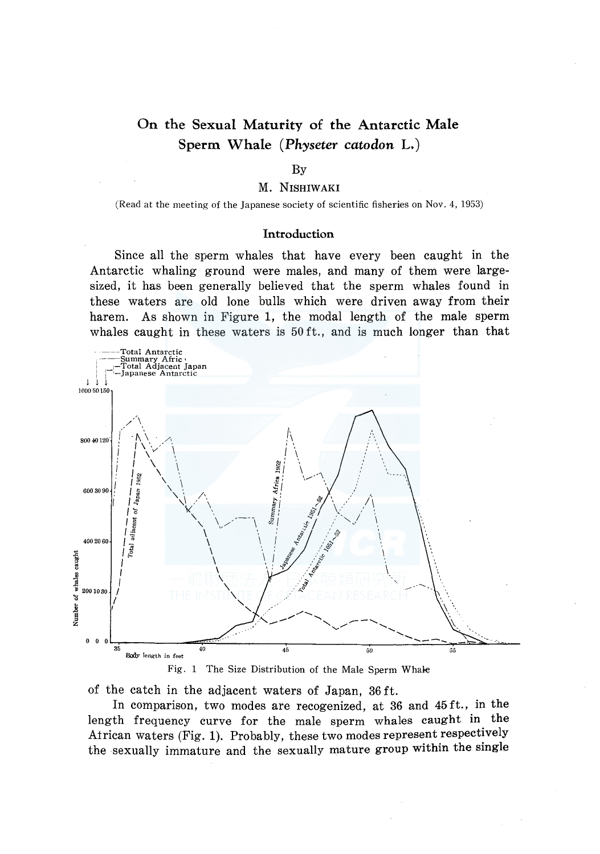# On the Sexual Maturity of the Antarctic Male Sperm Whale ( *Physeter catodon* L.)

### By

### M. NISHIWAKI

(Read at the meeting of the Japanese society of scientific fisheries on Nov. 4, 1953)

#### Introduction

Since all the sperm whales that have every been caught in the Antarctic whaling ground were males, and many of them were largesized, it has been generally believed that the sperm whales found in these waters are old lone bulls which were driven away from their harem. As shown in Figure 1, the modal length of the male sperm whales caught in these waters is 50 ft., and is much longer than that





of the catch in the adjacent waters of Japan, 36 ft.

In comparison, two modes are recogenized, at 36 and 45 ft., in the length frequency curve for the male sperm whales caught in the African waters (Fig. 1). Probably, these two modes represent respectively the sexually immature and the sexually mature group within the single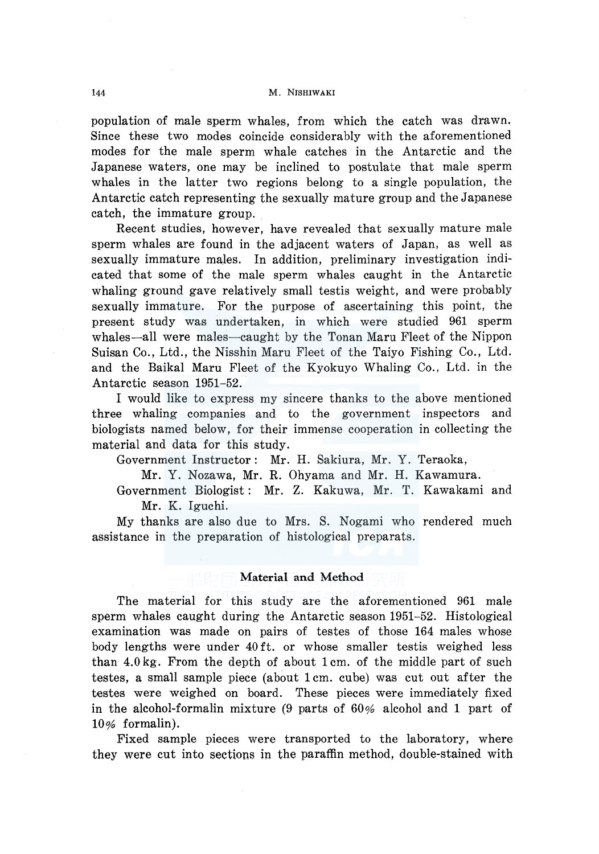#### 144 M. NISHIW AKI

population of male sperm whales, from which the catch was drawn. Since these two modes coincide considerably with the aforementioned modes for the male sperm whale catches in the Antarctic and the Japanese waters, one may be inclined to postulate that male sperm whales in the latter two regions belong to a single population, the Antarctic catch representing the sexually mature group and the Japanese catch, the immature group.

Recent studies, however, have revealed that sexually mature male sperm whales are found in the adjacent waters of Japan, as well as sexually immature males. In addition, preliminary investigation indicated that some of the male sperm whales caught in the Antarctic whaling ground gave relatively small testis weight, and were probably sexually immature. For the purpose of ascertaining this point, the present study was undertaken, in which were studied 961 sperm whales-all were males-caught by the Tonan Maru Fleet of the Nippon Suisan Co., Ltd., the Nisshin Maru Fleet of the Taiyo Fishing Co., Ltd. and the Baikal Maru Fleet of the Kyokuyo Whaling Co., Ltd. in the Antarctic season 1951-52.

I would like to express my sincere thanks to the above mentioned three whaling companies and to the government inspectors and biologists named below, for their immense cooperation in collecting the material and data for this study.

Government Instructor: Mr. H. Sakiura, Mr. Y. Teraoka,

Mr. Y. Nozawa, Mr. **R.** Ohyama and Mr. H. Kawamura.

Government Biologist: Mr. Z. Kakuwa, Mr. T. Kawakami and Mr. K. Iguchi.

My thanks are also due to Mrs. S. Nogami who rendered much assistance in the preparation of histological preparats.

## **Material and Method**

The material for this study are the aforementioned 961 male sperm whales caught during the Antarctic season 1951-52. Histological examination was made on pairs of testes of those 164 males whose body lengths were under 40 ft. or whose smaller testis weighed less than 4.0 kg. From the depth of about 1 cm. of the middle part of such testes, a small sample piece (about 1 cm. cube) was cut out after the testes were weighed on board. These pieces were immediately fixed in the alcohol-formalin mixture (9 parts of 60% alcohol and **1** part of 10% formalin).

Fixed sample pieces were transported to the laboratory, where they were cut into sections in the paraffin method, double-stained with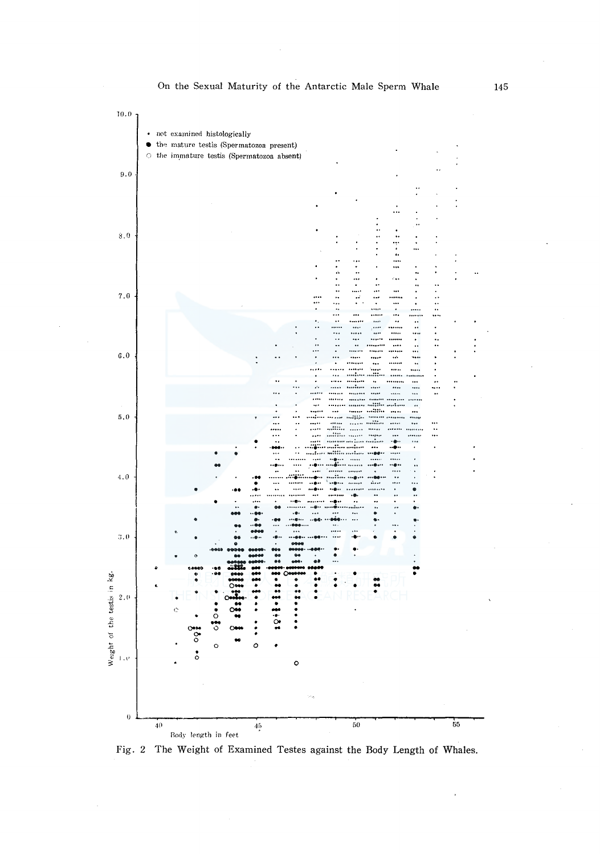

On the Sexual Maturity of the Antarctic Male Sperm Whale

Fig. 2 The Weight of Examined Testes against the Body Length of Whales.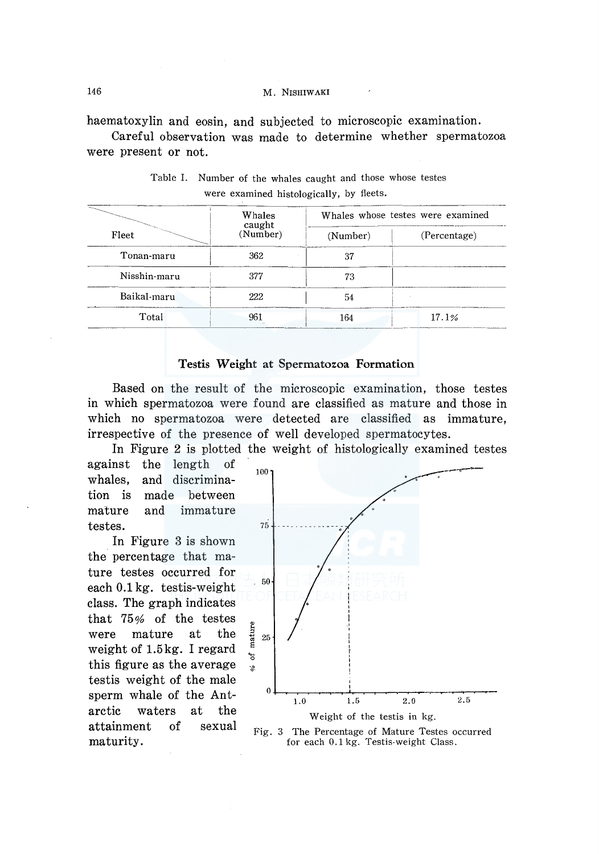haematoxylin and eosin, and subjected to microscopic examination.

Careful observation was made to determine whether spermatozoa were present or not.

| Fleet        | Whales<br>caught<br>(Number) | Whales whose testes were examined |              |  |
|--------------|------------------------------|-----------------------------------|--------------|--|
|              |                              | (Number)                          | (Percentage) |  |
| Tonan-maru   | 362                          | 37                                |              |  |
| Nisshin-maru | 377                          | 73                                |              |  |
| Baikal maru  | 222                          | 54                                |              |  |
| Total        | 961                          | 164                               | 17.1%        |  |

Table I. Number of the whales caught and those whose testes were examined histologically, by fleets.

## Testis Weight at Spermatozoa Formation

Based on the result of the microscopic examination, those testes in which spermatozoa were found are classified as mature and those in which no spermatozoa were detected are classified as immature, irrespective of the presence of well developed spermatocytes.

In Figure 2 is plotted the weight of histologically examined testes

against the length of whales, tion is mature testes. and discriminamade between and immature

In Figure 3 is shown the percentage that mature testes occurred for each 0.1 kg. testis-weight class. The graph indicates that 75% of the testes were mature at the weight of 1.5kg. I regard this figure as the average testis weight of the male sperm whale of the Antarctic waters at the attainment of sexual maturity.



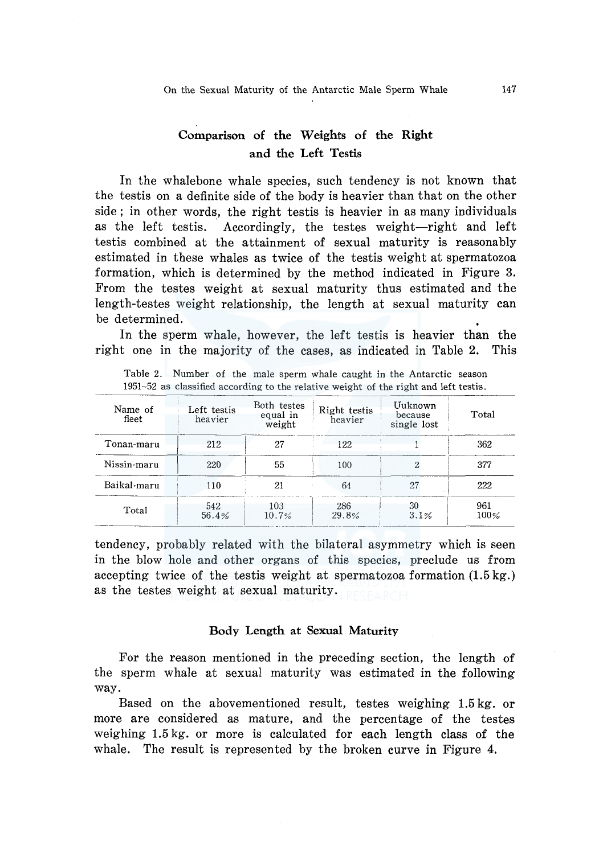## Comparison of the Weights of the Right and the Left Testis

In the whalebone whale species, such tendency is not known that the testis on a definite side of the body is heavier than that on the other side ; in other words, the right testis is heavier in as many individuals as the left testis. Accordingly, the testes weight-right and left testis combined at the attainment of sexual maturity is reasonably estimated in these whales as twice of the testis weight at spermatozoa formation, which is determined by the method indicated in Figure 3. From the testes weight at sexual maturity thus estimated and the length-testes weight relationship, the length at sexual maturity can be determined.

In the sperm whale, however, the left testis is heavier than the right one in the majority of the cases, as indicated in Table 2. This

| Name of<br>fleet | Left testis<br>heavier | Both testes<br>equal in<br>weight | Right testis<br>heavier | Uuknown<br>because<br>single lost | Total          |
|------------------|------------------------|-----------------------------------|-------------------------|-----------------------------------|----------------|
| Tonan-maru       | 212                    | 27                                | 122                     |                                   | 362            |
| Nissin-maru      | 220                    | 55                                | 100                     |                                   | 377            |
| Baikal-maru      | 110                    | 21                                | 64                      | 27                                | 222            |
| Total            | 542<br>56.4%           | 103<br>10.7%                      | 286<br>29.8%            | 30<br>3.1%                        | 961<br>$100\%$ |

Table 2. Number of the male sperm whale caught in the Antarctic season 1951-52 as classified according to the relative weight of the right and left testis.

tendency, probably related with the bilateral asymmetry which is seen in the blow hole and other organs of this species, preclude us from accepting twice of the testis weight at spermatozoa formation (1.5 kg.) as the testes weight at sexual maturity.

## Body Length at Sexual Maturity

For the reason mentioned in the preceding section, the length of the sperm whale at sexual maturity was estimated in the following way.

Based on the abovementioned result, testes weighing 1.5 kg. or more are considered as mature, and the percentage of the testes weighing 1.5 kg. or more is calculated for each length class of the whale. The result is represented by the broken curve in Figure 4.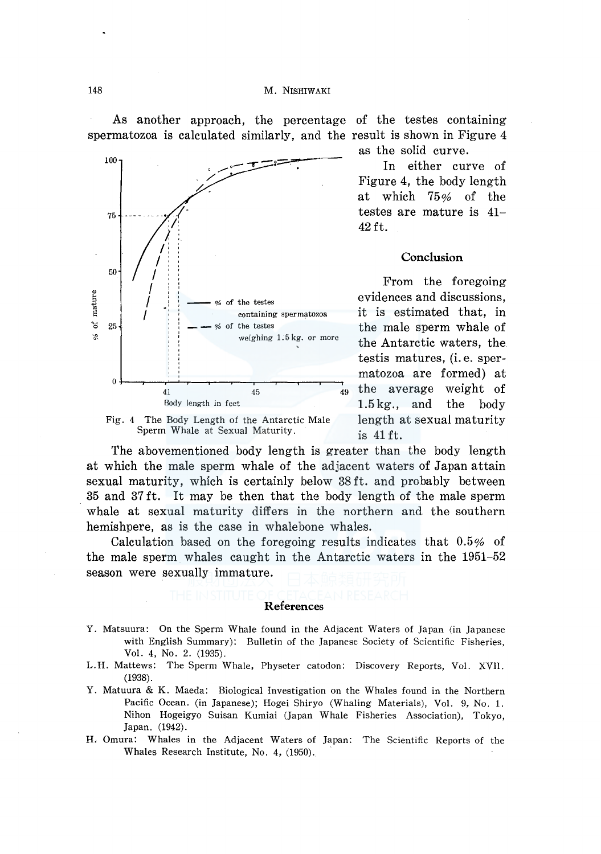As another approach, the percentage of the testes containing spermatozoa is calculated similarly, and the result is shown in Figure 4





as the solid curve.

In either curve of Figure 4, the body length at which  $75\%$  of the testes are mature is  $41-$ 42 ft.

## Conclusion

From the foregoing evidences and discussions. it is estimated that, in the male sperm whale of the Antarctic waters, the testis matures, (i.e. spermatozoa are formed) at the average weight of  $1.5 \,\mathrm{kg}$ . and the body length at sexual maturity is 41 ft.

The abovementioned body length is greater than the body length at which the male sperm whale of the adjacent waters of Japan attain sexual maturity, which is certainly below 38ft. and probably between 35 and 37 ft. It may be then that the body length of the male sperm whale at sexual maturity differs in the northern and the southern hemishpere, as is the case in whalebone whales.

Calculation based on the foregoing results indicates that  $0.5\%$  of the male sperm whales caught in the Antarctic waters in the 1951–52 season were sexually immature.

#### References

- Y. Matsuura: On the Sperm Whale found in the Adjacent Waters of Japan (in Japanese with English Summary): Bulletin of the Japanese Society of Scientific Fisheries, Vol. 4, No. 2. (1935).
- L.H. Mattews: The Sperm Whale, Physeter catodon: Discovery Reports, Vol. XVII.  $(1938).$
- Y. Matuura & K. Maeda: Biological Investigation on the Whales found in the Northern Pacific Ocean. (in Japanese); Hogei Shiryo (Whaling Materials), Vol. 9, No. 1. Nihon Hogeigyo Suisan Kumiai (Japan Whale Fisheries Association), Tokyo, Japan. (1942).
- H. Omura: Whales in the Adjacent Waters of Japan: The Scientific Reports of the Whales Research Institute, No. 4, (1950).